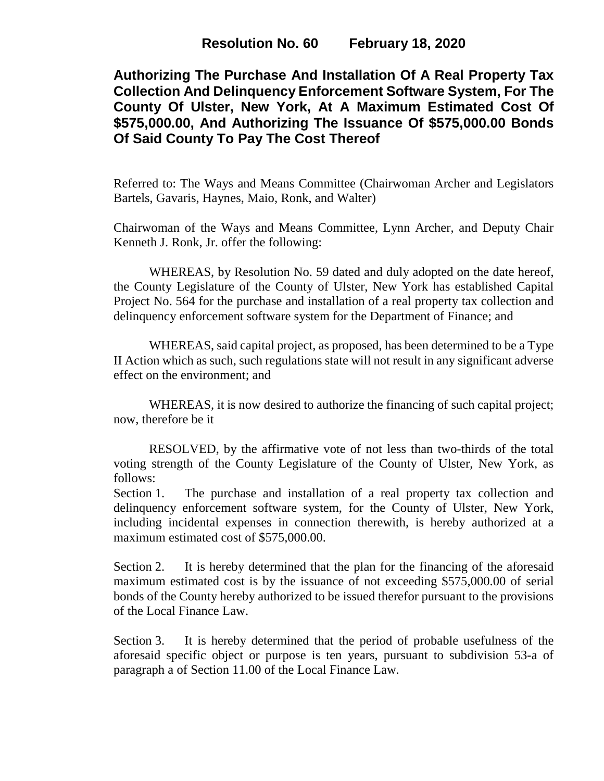**Authorizing The Purchase And Installation Of A Real Property Tax Collection And Delinquency Enforcement Software System, For The County Of Ulster, New York, At A Maximum Estimated Cost Of \$575,000.00, And Authorizing The Issuance Of \$575,000.00 Bonds Of Said County To Pay The Cost Thereof**

Referred to: The Ways and Means Committee (Chairwoman Archer and Legislators Bartels, Gavaris, Haynes, Maio, Ronk, and Walter)

Chairwoman of the Ways and Means Committee, Lynn Archer, and Deputy Chair Kenneth J. Ronk, Jr. offer the following:

WHEREAS, by Resolution No. 59 dated and duly adopted on the date hereof, the County Legislature of the County of Ulster, New York has established Capital Project No. 564 for the purchase and installation of a real property tax collection and delinquency enforcement software system for the Department of Finance; and

WHEREAS, said capital project, as proposed, has been determined to be a Type II Action which as such, such regulations state will not result in any significant adverse effect on the environment; and

WHEREAS, it is now desired to authorize the financing of such capital project; now, therefore be it

RESOLVED, by the affirmative vote of not less than two-thirds of the total voting strength of the County Legislature of the County of Ulster, New York, as follows:

Section 1. The purchase and installation of a real property tax collection and delinquency enforcement software system, for the County of Ulster, New York, including incidental expenses in connection therewith, is hereby authorized at a maximum estimated cost of \$575,000.00.

Section 2. It is hereby determined that the plan for the financing of the aforesaid maximum estimated cost is by the issuance of not exceeding \$575,000.00 of serial bonds of the County hereby authorized to be issued therefor pursuant to the provisions of the Local Finance Law.

Section 3. It is hereby determined that the period of probable usefulness of the aforesaid specific object or purpose is ten years, pursuant to subdivision 53-a of paragraph a of Section 11.00 of the Local Finance Law.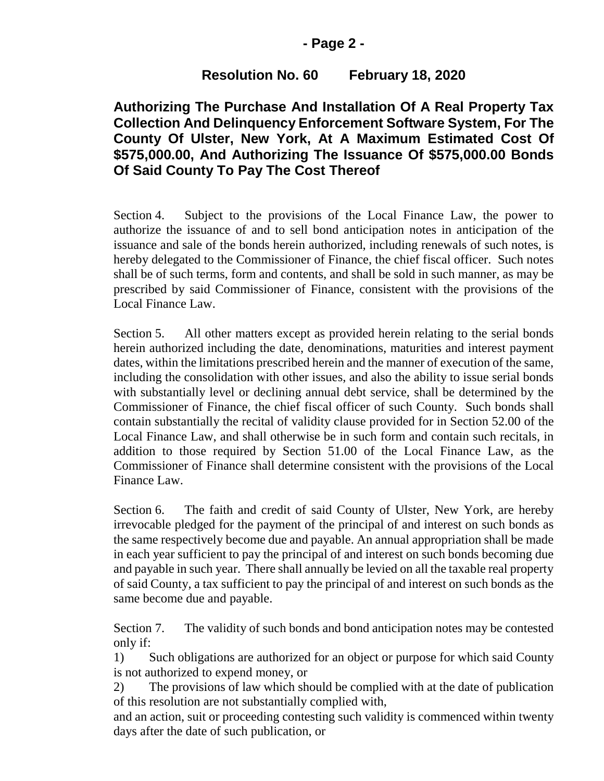### **- Page 2 -**

## **Resolution No. 60 February 18, 2020**

# **Authorizing The Purchase And Installation Of A Real Property Tax Collection And Delinquency Enforcement Software System, For The County Of Ulster, New York, At A Maximum Estimated Cost Of \$575,000.00, And Authorizing The Issuance Of \$575,000.00 Bonds Of Said County To Pay The Cost Thereof**

Section 4. Subject to the provisions of the Local Finance Law, the power to authorize the issuance of and to sell bond anticipation notes in anticipation of the issuance and sale of the bonds herein authorized, including renewals of such notes, is hereby delegated to the Commissioner of Finance, the chief fiscal officer. Such notes shall be of such terms, form and contents, and shall be sold in such manner, as may be prescribed by said Commissioner of Finance, consistent with the provisions of the Local Finance Law.

Section 5. All other matters except as provided herein relating to the serial bonds herein authorized including the date, denominations, maturities and interest payment dates, within the limitations prescribed herein and the manner of execution of the same, including the consolidation with other issues, and also the ability to issue serial bonds with substantially level or declining annual debt service, shall be determined by the Commissioner of Finance, the chief fiscal officer of such County. Such bonds shall contain substantially the recital of validity clause provided for in Section 52.00 of the Local Finance Law, and shall otherwise be in such form and contain such recitals, in addition to those required by Section 51.00 of the Local Finance Law, as the Commissioner of Finance shall determine consistent with the provisions of the Local Finance Law.

Section 6. The faith and credit of said County of Ulster, New York, are hereby irrevocable pledged for the payment of the principal of and interest on such bonds as the same respectively become due and payable. An annual appropriation shall be made in each year sufficient to pay the principal of and interest on such bonds becoming due and payable in such year. There shall annually be levied on all the taxable real property of said County, a tax sufficient to pay the principal of and interest on such bonds as the same become due and payable.

Section 7. The validity of such bonds and bond anticipation notes may be contested only if:

1) Such obligations are authorized for an object or purpose for which said County is not authorized to expend money, or

2) The provisions of law which should be complied with at the date of publication of this resolution are not substantially complied with,

and an action, suit or proceeding contesting such validity is commenced within twenty days after the date of such publication, or